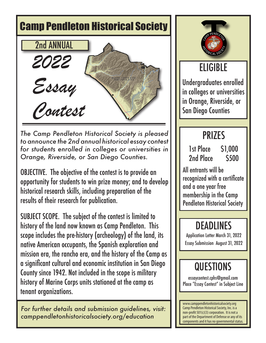# Camp Pendleton Historical Society 2nd ANNUAL*2022*  ARINE CORPS BAS<br>CAMP PENDLETON *Essay Contest*

*The Camp Pendleton Historical Society is pleased to announce the 2nd annual historical essay contest for students enrolled in colleges or universities in Orange, Riverside, or San Diego Counties.*

OBJECTIVE. The objective of the contest is to provide an opportunity for students to win prize money; and to develop historical research skills, including preparation of the results of their research for publication.

SUBJECT SCOPE. The subject of the contest is limited to history of the land now known as Camp Pendleton. This scope includes the pre-history (archeology) of the land, its native American occupants, the Spanish exploration and mission era, the rancho era, and the history of the Camp as a significant cultural and economic institution in San Diego County since 1942. Not included in the scope is military history of Marine Corps units stationed at the camp as tenant organizations.

*For further details and submission guidelines, visit: camppendletonhistoricalsociety.org/education*



## ELIGIBLE

Undergraduates enrolled in colleges or universities in Orange, Riverside, or San Diego Counties

### **PRIZES**

 1st Place \$1,000 2nd Place \$500

All entrants will be recognized with a certificate and a one year free membership in the Camp Pendleton Historical Society

### DEADLINES

Application Letter March 31, 2022 Essay Submission August 31, 2022

### **QUESTIONS**

essaycontest.cphs@gmail.com Place "Essay Contest" in Subject Line

www.camppendletonhistoricalsociety.org Camp Pendleton Historical Society, Inc. is a non-profit 501(c)(3) corporation. It is not a part of the Department of Defense or any of its components and it has no governmental status.